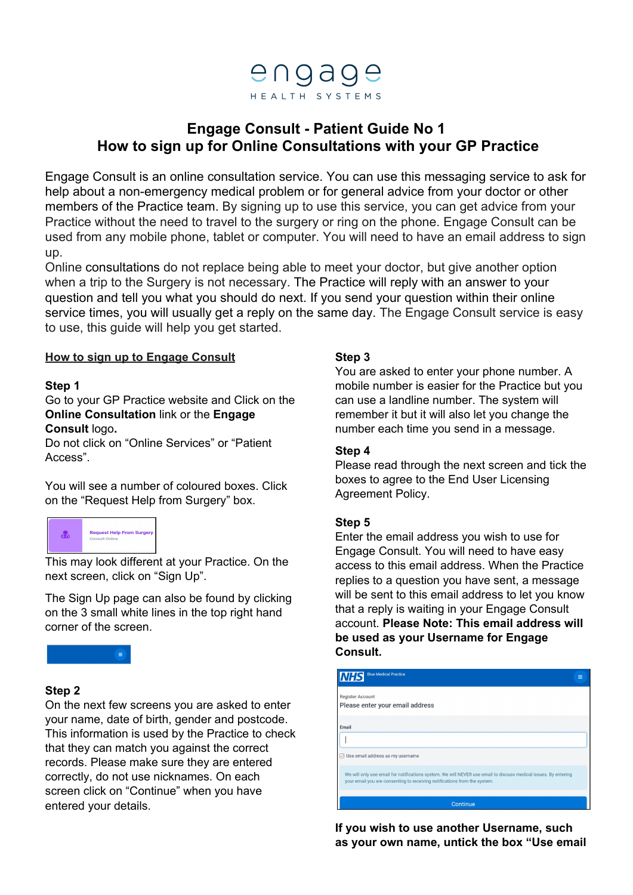

# **Engage Consult - Patient Guide No 1 How to sign up for Online Consultations with your GP Practice**

Engage Consult is an online consultation service. You can use this messaging service to ask for help about a non-emergency medical problem or for general advice from your doctor or other members of the Practice team. By signing up to use this service, you can get advice from your Practice without the need to travel to the surgery or ring on the phone. Engage Consult can be used from any mobile phone, tablet or computer. You will need to have an email address to sign up.

Online consultations do not replace being able to meet your doctor, but give another option when a trip to the Surgery is not necessary. The Practice will reply with an answer to your question and tell you what you should do next. If you send your question within their online service times, you will usually get a reply on the same day. The Engage Consult service is easy to use, this guide will help you get started.

## **How to sign up to Engage Consult**

#### **Step 1**

Go to your GP Practice website and Click on the **Online Consultation** link or the **Engage Consult** logo**.**

Do not click on "Online Services" or "Patient Access".

You will see a number of coloured boxes. Click on the "Request Help from Surgery" box.



This may look different at your Practice. On the next screen, click on "Sign Up".

The Sign Up page can also be found by clicking on the 3 small white lines in the top right hand corner of the screen.



## **Step 2**

On the next few screens you are asked to enter your name, date of birth, gender and postcode. This information is used by the Practice to check that they can match you against the correct records. Please make sure they are entered correctly, do not use nicknames. On each screen click on "Continue" when you have entered your details.

#### **Step 3**

You are asked to enter your phone number. A mobile number is easier for the Practice but you can use a landline number. The system will remember it but it will also let you change the number each time you send in a message.

### **Step 4**

Please read through the next screen and tick the boxes to agree to the End User Licensing Agreement Policy.

## **Step 5**

Enter the email address you wish to use for Engage Consult. You will need to have easy access to this email address. When the Practice replies to a question you have sent, a message will be sent to this email address to let you know that a reply is waiting in your Engage Consult account. **Please Note: This email address will be used as your Username for Engage Consult.**

| <b>Blue Medical Practice</b><br><b>NHS</b><br>$\equiv$                                                                                                                                       |  |  |
|----------------------------------------------------------------------------------------------------------------------------------------------------------------------------------------------|--|--|
| Register Account<br>Please enter your email address                                                                                                                                          |  |  |
| Email<br>$\boxdot$ Use email address as my username                                                                                                                                          |  |  |
| We will only use email for notifications system. We will NEVER use email to discuss medical issues. By entering<br>your email you are consenting to receiving notifications from the system. |  |  |
| Continue                                                                                                                                                                                     |  |  |

**If you wish to use another Username, such as your own name, untick the box "Use email**